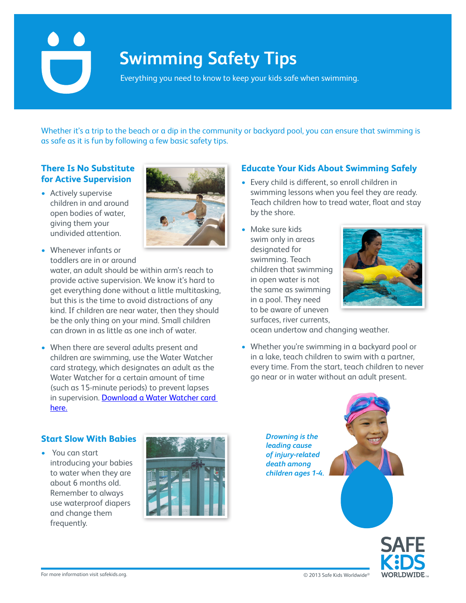# **Swimming Safety Tips**

Everything you need to know to keep your kids safe when swimming.

Whether it's a trip to the beach or a dip in the community or backyard pool, you can ensure that swimming is as safe as it is fun by following a few basic safety tips.

# **There Is No Substitute for Active Supervision**

• Actively supervise children in and around open bodies of water, giving them your undivided attention.



• Whenever infants or toddlers are in or around

water, an adult should be within arm's reach to provide active supervision. We know it's hard to get everything done without a little multitasking, but this is the time to avoid distractions of any kind. If children are near water, then they should be the only thing on your mind. Small children can drown in as little as one inch of water.

• When there are several adults present and children are swimming, use the Water Watcher card strategy, which designates an adult as the Water Watcher for a certain amount of time (such as 15-minute periods) to prevent lapses in supervision. Download a Water Watcher card [here.](http://www.safekids.org/sites/default/files/documents/water-watcher-card-1.pdf)

#### **Educate Your Kids About Swimming Safely**

- Every child is different, so enroll children in swimming lessons when you feel they are ready. Teach children how to tread water, float and stay by the shore.
- • Make sure kids swim only in areas designated for swimming. Teach children that swimming in open water is not the same as swimming in a pool. They need to be aware of uneven surfaces, river currents,



ocean undertow and changing weather.

• Whether you're swimming in a backyard pool or in a lake, teach children to swim with a partner, every time. From the start, teach children to never go near or in water without an adult present.





### **Start Slow With Babies**

• You can start introducing your babies to water when they are about 6 months old. Remember to always use waterproof diapers and change them frequently.



*Drowning is the leading cause of injury-related death among children ages 1-4.*